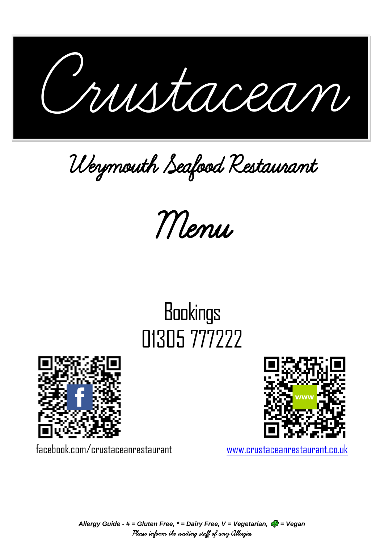ı Crustacean Crustacean

Weymouth Seafood Restaurant

Menu

# **Bookings** 01305 777222





*Allergy Guide - # = Gluten Free, \* = Dairy Free, V = Vegetarian, = Vegan* Please inform the waiting staff of any Allergies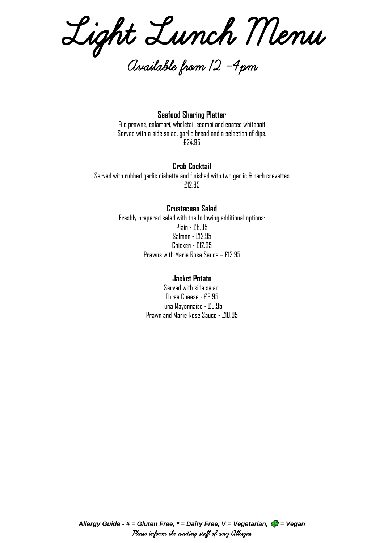Light Lunch Menu

Available from 12 -4pm

**Seafood Sharing Platter** Filo prawns, calamari, wholetail scampi and coated whitebait Served with a side salad, garlic bread and a selection of dips. £24.95

# **Crab Cocktail**

Served with rubbed garlic ciabatta and finished with two garlic & herb crevettes £12.95

# **Crustacean Salad**

Freshly prepared salad with the following additional options: Plain - £8.95 Salmon - £12.95 Chicken - £12.95 Prawns with Marie Rose Sauce – £12.95

# **Jacket Potato**

Served with side salad. Three Cheese - £8.95 Tuna Mayonnaise - £9.95 Prawn and Marie Rose Sauce - £10.95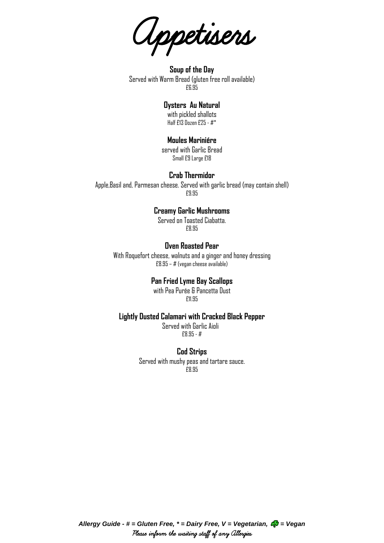Appetisers

**Soup of the Day**  Served with Warm Bread (gluten free roll available) £6.95

# **Oysters Au Natural**

with pickled shallots Half £13 Dozen £25 - #\*

# **Moules Mariniére**

served with Garlic Bread Small £9 Large £18

## **Crab Thermidor**

Apple,Basil and, Parmesan cheese. Served with garlic bread (may contain shell) £9.95

# **Creamy Garlic Mushrooms**

Served on Toasted Ciabatta. £8.95

## **Oven Roasted Pear**

With Roquefort cheese, walnuts and a ginger and honey dressing £8.95 – # (vegan cheese available)

# **Pan Fried Lyme Bay Scallops**

with Pea Purée & Pancetta Dust £11.95

## **Lightly Dusted Calamari with Cracked Black Pepper**

Served with Garlic Aioli £8.95 - #

#### **Cod Strips**

Served with mushy peas and tartare sauce. £8.95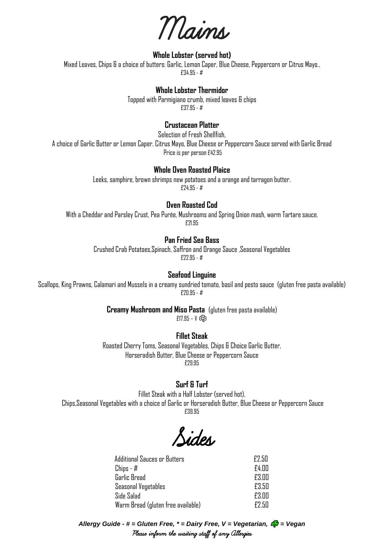Mains

# **Whole Lobster (served hot)**

Mixed Leaves, Chips & a choice of butters: Garlic, Lemon Caper, Blue Cheese, Peppercorn or Citrus Mayo.. £34.95 - #

## **Whole Lobster Thermidor**

Topped with Parmigiano crumb, mixed leaves & chips £37.95 - #

# **Crustacean Platter**

Selection of Fresh Shellfish,

A choice of Garlic Butter or Lemon Caper. Citrus Mayo, Blue Cheese or Peppercorn Sauce served with Garlic Bread Price is per person £42.95

## **Whole Oven Roasted Plaice**

Leeks, samphire, brown shrimps new potatoes and a orange and tarragon butter. £24.95 - #

#### **Oven Roasted Cod**

With a Cheddar and Parsley Crust, Pea Purée, Mushrooms and Spring Onion mash, warm Tartare sauce. £21.95

## **Pan Fried Sea Bass**

Crushed Crab Potatoes,Spinach, Saffron and Orange Sauce ,Seasonal Vegetables £22.95 - #

#### **Seafood Linguine**

Scallops, King Prawns, Calamari and Mussels in a creamy sundried tomato, basil and pesto sauce (gluten free pasta available) £20.95 - #

**Creamy Mushroom and Miso Pasta** (gluten free pasta available)

 $E17.95 - V$   $E2$ 

## **Fillet Steak**

Roasted Cherry Toms, Seasonal Vegetables, Chips & Choice Garlic Butter, Horseradish Butter, Blue Cheese or Peppercorn Sauce £29.95

# **Surf & Turf**

Fillet Steak with a Half Lobster (served hot), Chips,Seasonal Vegetables with a choice of Garlic or Horseradish Butter, Blue Cheese or Peppercorn Sauce £39.95

Sides

| <b>Additional Sauces or Butters</b> | <b>F2.50</b> |
|-------------------------------------|--------------|
| Chips - #                           | £4.00        |
| Garlic Bread                        | £3.NN        |
| <b>Seasonal Vegetables</b>          | £3.50        |
| Side Salad                          | £3.NN        |
| Warm Bread (gluten free available)  | F7 50        |

*Allergy Guide - # = Gluten Free, \* = Dairy Free, V = Vegetarian, = Vegan* Please inform the waiting staff of any Allergies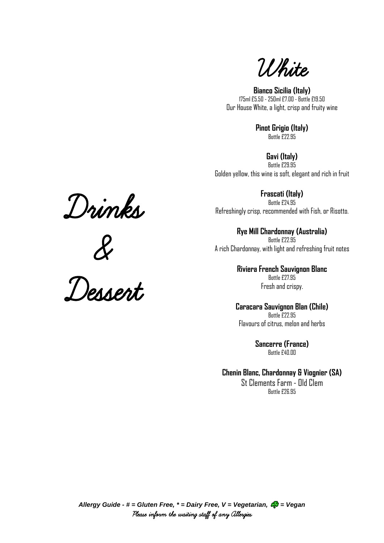

**Bianco Sicilia (Italy)** 175ml £5.50 - 250ml £7.00 - Bottle £19.50 Our House White, a light, crisp and fruity wine

> **Pinot Grigio (Italy)** Bottle £22.95

**Gavi (Italy)** Bottle £29.95 Golden yellow, this wine is soft, elegant and rich in fruit

**Frascati (Italy)** Bottle £24.95 Refreshingly crisp, recommended with Fish, or Risotto.

**Rye Mill Chardonnay (Australia)** Bottle £22.95 A rich Chardonnay, with light and refreshing fruit notes

> **Riviera French Sauvignon Blanc** Bottle £27.95 Fresh and crispy.

**Caracara Sauvignon Blan (Chile)** Bottle £22.95 Flavours of citrus, melon and herbs

> **Sancerre (France)** Bottle £40.00

**Chenin Blanc, Chardonnay & Viognier (SA)**

St Clements Farm - Old Clem Bottle £26.95





Dessert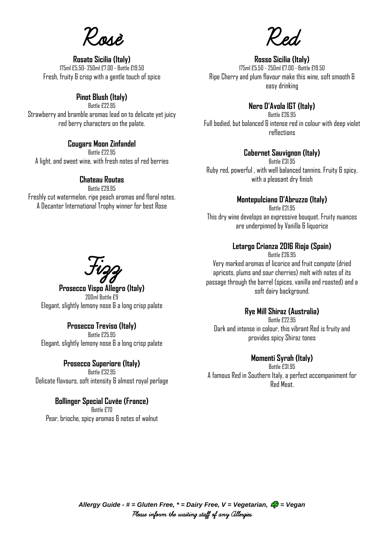Rosé

**Rosato Sicilia (Italy)** 175ml £5.50- 250ml £7.00 - Bottle £19.50 Fresh, fruity & crisp with a gentle touch of spice

# **Pinot Blush (Italy)**

Bottle £22.95 Strawberry and bramble aromas lead on to delicate yet juicy red berry characters on the palate.

# **Cougars Moon Zinfandel**

Bottle £22.95 A light, and sweet wine, with fresh notes of red berries

# **Chateau Routas**

Bottle £29.95 Freshly cut watermelon, ripe peach aromas and floral notes. A Decanter International Trophy winner for best Rose

Red

# **Rosso Sicilia (Italy)**

175ml £5.50 - 250ml £7.00 - Bottle £19.50 Ripe Cherry and plum flavour make this wine, soft smooth & easy drinking

# **Nero D'Avola IGT (Italy)**

Bottle £26.95 Full bodied, but balanced & intense red in colour with deep violet reflections

# **Cabernet Sauvignon (Italy)**

Bottle £31.95 Ruby red, powerful , with well balanced tannins. Fruity & spicy, with a pleasant dry finish

## **Montepulciano D'Abruzzo (Italy)**

Bottle £21.95 This dry wine develops an expressive bouquet. Fruity nuances are underpinned by Vanilla & liquorice

# **Letargo Crianza 2016 Rioja (Spain)**

Bottle £26.95 Very marked aromas of licorice and fruit compote (dried apricots, plums and sour cherries) melt with notes of its passage through the barrel (spices, vanilla and roasted) and a soft dairy background.

## **Rye Mill Shiraz (Australia)**

Bottle £22.95 Dark and intense in colour, this vibrant Red is fruity and provides spicy Shiraz tones

# **Momenti Syrah (Italy)**

Bottle £31.95 A famous Red in Southern Italy, a perfect accompaniment for Red Meat.

Fizz

**Prosecco Vispo Allegro (Italy)** 200ml Bottle £9 Elegant, slightly lemony nose & a long crisp palate

#### **Prosecco Treviso (Italy)** Bottle £25.95

Elegant, slightly lemony nose & a long crisp palate

# **Prosecco Superiore (Italy)**

Bottle £32.95 Delicate flavours, soft intensity & almost royal perlage

## **Bollinger Special Cuvée (France)**

Bottle £70 Pear, brioche, spicy aromas & notes of walnut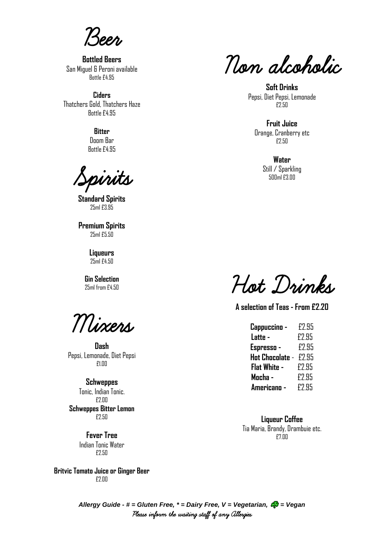Beer

**Bottled Beers** San Miguel & Peroni available Bottle £4.95

**Ciders** Thatchers Gold, Thatchers Haze Bottle £4.95

> **Bitter** Doom Bar

Bottle £4.95

Spirits

**Standard Spirits** 25ml £3.95

**Premium Spirits** 25ml £5.50

> **Liqueurs** 25ml £4.50

**Gin Selection** 25ml from £4.50

Mixers

**Dash** Pepsi, Lemonade, Diet Pepsi £1.00

**Schweppes** Tonic, Indian Tonic. £2.00 **Schweppes Bitter Lemon** £2.50

> **Fever Tree**  Indian Tonic Water £2.50

**Britvic Tomato Juice or Ginger Beer** £2.00

Non alcoholic

**Soft Drinks** Pepsi, Diet Pepsi, Lemonade £2.50

**Fruit Juice** Orange, Cranberry etc £2.50

> **Water** Still / Sparkling 500ml £3.00

Hot Drinks

**A selection of Teas - From £2.20**

| Cappuccino -    | £2.95 |
|-----------------|-------|
| Latte -         | £2.95 |
| Espresso -      | £2.95 |
| Hot Chocolate - | £2.95 |
| Flat White -    | £2.95 |
| Mocha -         | £2.95 |
| Americano -     | F2.95 |

**Liqueur Coffee** Tia Maria, Brandy, Drambuie etc. £7.00

*Allergy Guide - # = Gluten Free, \* = Dairy Free, V = Vegetarian, = Vegan* Please inform the waiting staff of any Allergies